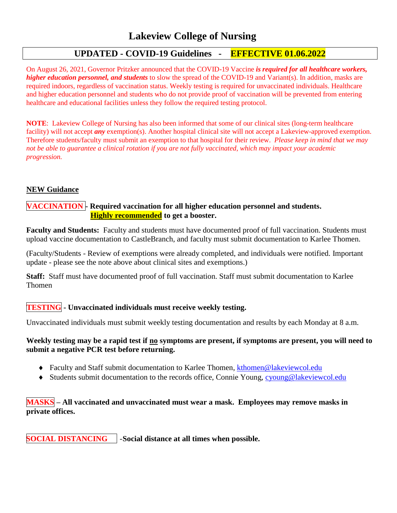## **UPDATED - COVID-19 Guidelines - EFFECTIVE 01.06.2022**

On August 26, 2021, Governor Pritzker announced that the COVID-19 Vaccine *is required for all healthcare workers, higher education personnel, and students* to slow the spread of the COVID-19 and Variant(s). In addition, masks are required indoors, regardless of vaccination status. Weekly testing is required for unvaccinated individuals. Healthcare and higher education personnel and students who do not provide proof of vaccination will be prevented from entering healthcare and educational facilities unless they follow the required testing protocol.

**NOTE**: Lakeview College of Nursing has also been informed that some of our clinical sites (long-term healthcare facility) will not accept *any* exemption(s). Another hospital clinical site will not accept a Lakeview-approved exemption. Therefore students/faculty must submit an exemption to that hospital for their review. *Please keep in mind that we may not be able to guarantee a clinical rotation if you are not fully vaccinated, which may impact your academic progression.*

## **NEW Guidance**

## **VACCINATION - Required vaccination for all higher education personnel and students. Highly recommended to get a booster.**

**Faculty and Students:** Faculty and students must have documented proof of full vaccination. Students must upload vaccine documentation to CastleBranch, and faculty must submit documentation to Karlee Thomen.

(Faculty/Students - Review of exemptions were already completed, and individuals were notified. Important update - please see the note above about clinical sites and exemptions.)

**Staff:** Staff must have documented proof of full vaccination. Staff must submit documentation to Karlee Thomen

## **TESTING - Unvaccinated individuals must receive weekly testing.**

Unvaccinated individuals must submit weekly testing documentation and results by each Monday at 8 a.m.

### **Weekly testing may be a rapid test if no symptoms are present, if symptoms are present, you will need to submit a negative PCR test before returning.**

- Faculty and Staff submit documentation to Karlee Thomen, kthomen@lakeviewcol.edu
- Students submit documentation to the records office, Connie Young, cyoung@lakeviewcol.edu

## **MASKS – All vaccinated and unvaccinated must wear a mask. Employees may remove masks in private offices.**

**SOCIAL DISTANCING** -**Social distance at all times when possible.**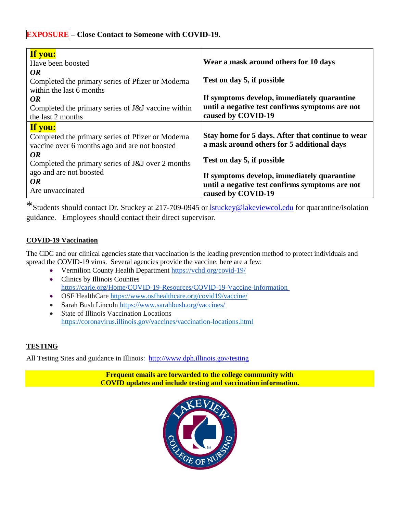# **EXPOSURE – Close Contact to Someone with COVID-19.**

| If you:<br>Have been boosted                                                                                                                                                    | Wear a mask around others for 10 days                                                                                         |
|---------------------------------------------------------------------------------------------------------------------------------------------------------------------------------|-------------------------------------------------------------------------------------------------------------------------------|
| OR<br>Completed the primary series of Pfizer or Moderna<br>within the last 6 months<br>OR                                                                                       | Test on day 5, if possible<br>If symptoms develop, immediately quarantine                                                     |
| Completed the primary series of J&J vaccine within<br>the last 2 months                                                                                                         | until a negative test confirms symptoms are not<br>caused by COVID-19                                                         |
| If you:<br>Completed the primary series of Pfizer or Moderna<br>vaccine over 6 months ago and are not boosted<br><b>OR</b><br>Completed the primary series of J&J over 2 months | Stay home for 5 days. After that continue to wear<br>a mask around others for 5 additional days<br>Test on day 5, if possible |
| ago and are not boosted<br>OR<br>Are unvaccinated                                                                                                                               | If symptoms develop, immediately quarantine<br>until a negative test confirms symptoms are not<br>caused by COVID-19          |

\*Students should contact Dr. Stuckey at 217-709-0945 or lstuckey@lakeviewcol.edu for quarantine/isolation guidance. Employees should contact their direct supervisor.

## **COVID-19 Vaccination**

The CDC and our clinical agencies state that vaccination is the leading prevention method to protect individuals and spread the COVID-19 virus. Several agencies provide the vaccine; here are a few:

- Vermilion County Health Department https://vchd.org/covid-19/
- Clinics by Illinois Counties https://carle.org/Home/COVID-19-Resources/COVID-19-Vaccine-Information
- OSF HealthCare https://www.osfhealthcare.org/covid19/vaccine/
- Sarah Bush Lincoln https://www.sarahbush.org/vaccines/
- State of Illinois Vaccination Locations https://coronavirus.illinois.gov/vaccines/vaccination-locations.html

## **TESTING**

All Testing Sites and guidance in Illinois: http://www.dph.illinois.gov/testing

**Frequent emails are forwarded to the college community with COVID updates and include testing and vaccination information.**